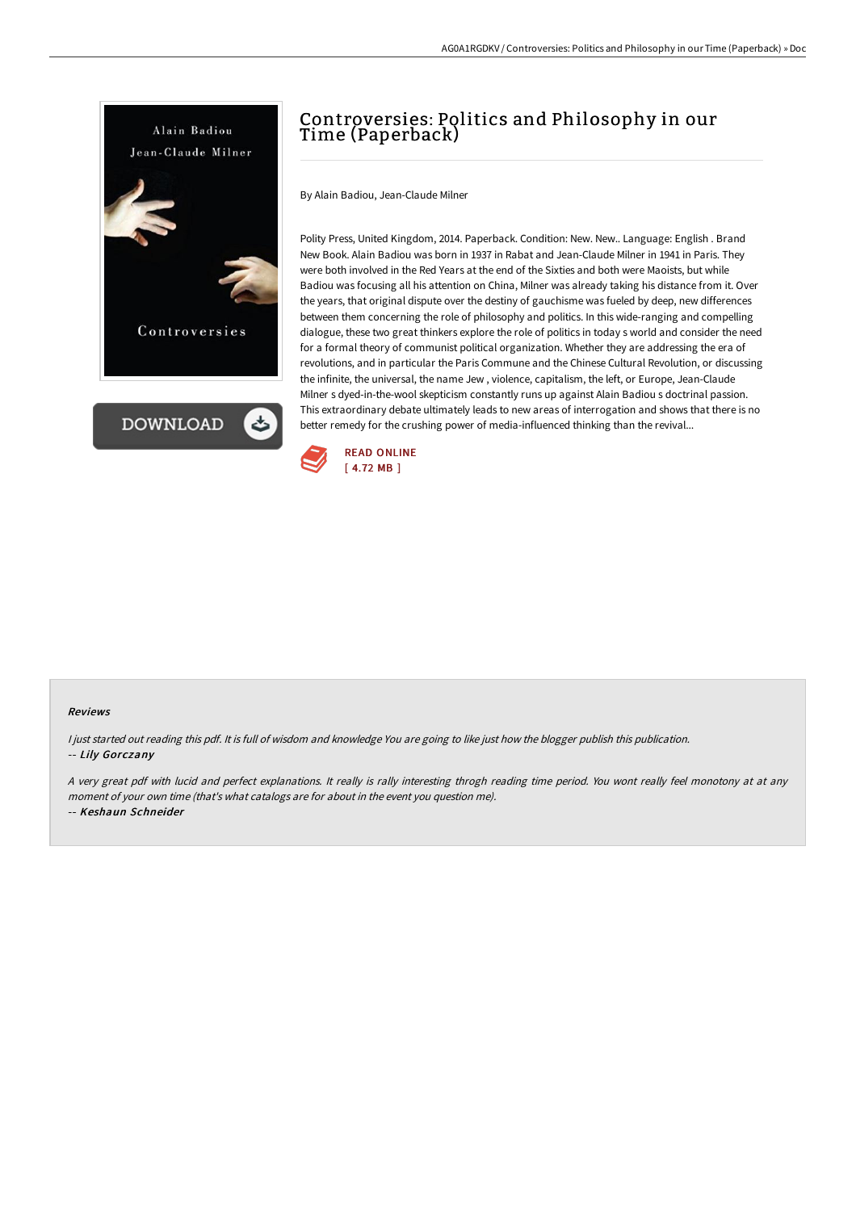

**DOWNLOAD** ٹ

# Controversies: Politics and Philosophy in our Time (Paperback)

By Alain Badiou, Jean-Claude Milner

Polity Press, United Kingdom, 2014. Paperback. Condition: New. New.. Language: English . Brand New Book. Alain Badiou was born in 1937 in Rabat and Jean-Claude Milner in 1941 in Paris. They were both involved in the Red Years at the end of the Sixties and both were Maoists, but while Badiou was focusing all his attention on China, Milner was already taking his distance from it. Over the years, that original dispute over the destiny of gauchisme was fueled by deep, new differences between them concerning the role of philosophy and politics. In this wide-ranging and compelling dialogue, these two great thinkers explore the role of politics in today s world and consider the need for a formal theory of communist political organization. Whether they are addressing the era of revolutions, and in particular the Paris Commune and the Chinese Cultural Revolution, or discussing the infinite, the universal, the name Jew , violence, capitalism, the left, or Europe, Jean-Claude Milner s dyed-in-the-wool skepticism constantly runs up against Alain Badiou s doctrinal passion. This extraordinary debate ultimately leads to new areas of interrogation and shows that there is no better remedy for the crushing power of media-influenced thinking than the revival...



## Reviews

I just started out reading this pdf. It is full of wisdom and knowledge You are going to like just how the blogger publish this publication. -- Lily Gorczany

<sup>A</sup> very great pdf with lucid and perfect explanations. It really is rally interesting throgh reading time period. You wont really feel monotony at at any moment of your own time (that's what catalogs are for about in the event you question me). -- Keshaun Schneider